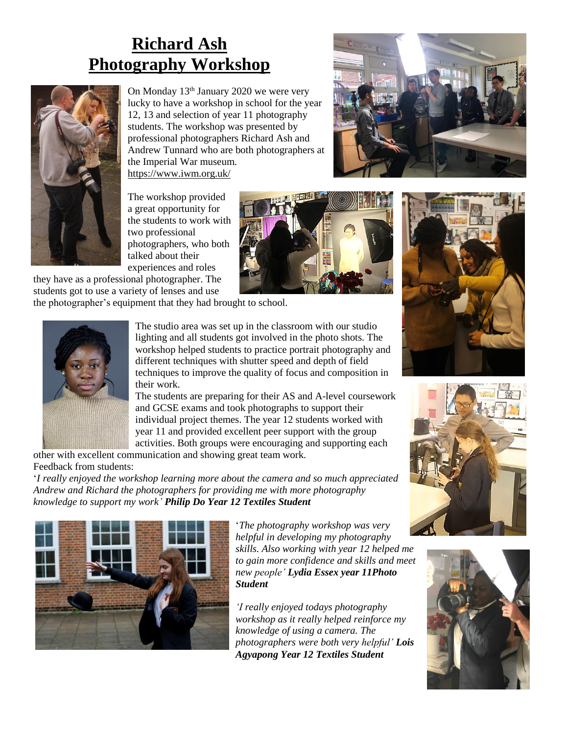## **Richard Ash Photography Workshop**



On Monday 13<sup>th</sup> January 2020 we were very lucky to have a workshop in school for the year 12, 13 and selection of year 11 photography students. The workshop was presented by professional photographers Richard Ash and Andrew Tunnard who are both photographers at the Imperial War museum. <https://www.iwm.org.uk/>



The workshop provided a great opportunity for the students to work with two professional photographers, who both talked about their experiences and roles



they have as a professional photographer. The students got to use a variety of lenses and use

the photographer's equipment that they had brought to school.



The studio area was set up in the classroom with our studio lighting and all students got involved in the photo shots. The workshop helped students to practice portrait photography and different techniques with shutter speed and depth of field techniques to improve the quality of focus and composition in their work.

The students are preparing for their AS and A-level coursework and GCSE exams and took photographs to support their individual project themes. The year 12 students worked with year 11 and provided excellent peer support with the group activities. Both groups were encouraging and supporting each

other with excellent communication and showing great team work. Feedback from students:

'*I really enjoyed the workshop learning more about the camera and so much appreciated Andrew and Richard the photographers for providing me with more photography knowledge to support my work' Philip Do Year 12 Textiles Student*



'*The photography workshop was very helpful in developing my photography skills. Also working with year 12 helped me to gain more confidence and skills and meet new people' Lydia Essex year 11Photo Student*

*'I really enjoyed todays photography workshop as it really helped reinforce my knowledge of using a camera. The photographers were both very helpful' Lois Agyapong Year 12 Textiles Student*